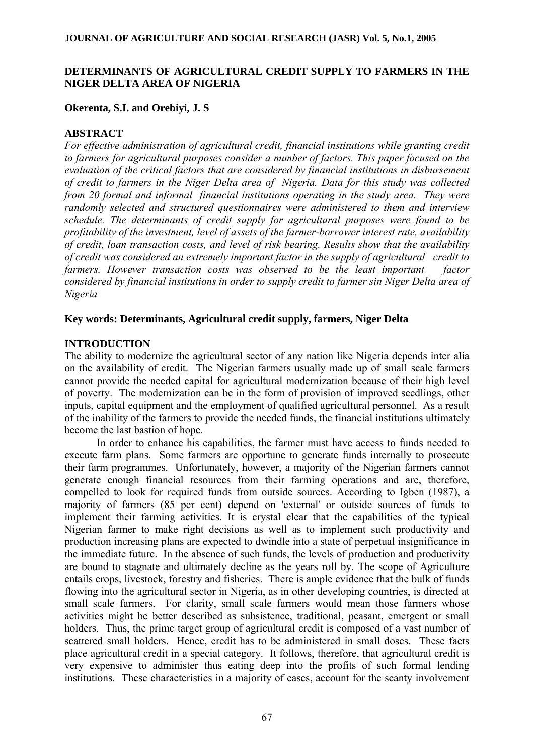# **DETERMINANTS OF AGRICULTURAL CREDIT SUPPLY TO FARMERS IN THE NIGER DELTA AREA OF NIGERIA**

# **Okerenta, S.I. and Orebiyi, J. S**

# **ABSTRACT**

*For effective administration of agricultural credit, financial institutions while granting credit to farmers for agricultural purposes consider a number of factors. This paper focused on the evaluation of the critical factors that are considered by financial institutions in disbursement of credit to farmers in the Niger Delta area of Nigeria. Data for this study was collected from 20 formal and informal financial institutions operating in the study area. They were randomly selected and structured questionnaires were administered to them and interview schedule. The determinants of credit supply for agricultural purposes were found to be profitability of the investment, level of assets of the farmer-borrower interest rate, availability of credit, loan transaction costs, and level of risk bearing. Results show that the availability of credit was considered an extremely important factor in the supply of agricultural credit to farmers. However transaction costs was observed to be the least important factor considered by financial institutions in order to supply credit to farmer sin Niger Delta area of Nigeria* 

# **Key words: Determinants, Agricultural credit supply, farmers, Niger Delta**

# **INTRODUCTION**

The ability to modernize the agricultural sector of any nation like Nigeria depends inter alia on the availability of credit. The Nigerian farmers usually made up of small scale farmers cannot provide the needed capital for agricultural modernization because of their high level of poverty. The modernization can be in the form of provision of improved seedlings, other inputs, capital equipment and the employment of qualified agricultural personnel. As a result of the inability of the farmers to provide the needed funds, the financial institutions ultimately become the last bastion of hope.

In order to enhance his capabilities, the farmer must have access to funds needed to execute farm plans. Some farmers are opportune to generate funds internally to prosecute their farm programmes. Unfortunately, however, a majority of the Nigerian farmers cannot generate enough financial resources from their farming operations and are, therefore, compelled to look for required funds from outside sources. According to Igben (1987), a majority of farmers (85 per cent) depend on 'external' or outside sources of funds to implement their farming activities. It is crystal clear that the capabilities of the typical Nigerian farmer to make right decisions as well as to implement such productivity and production increasing plans are expected to dwindle into a state of perpetual insignificance in the immediate future. In the absence of such funds, the levels of production and productivity are bound to stagnate and ultimately decline as the years roll by. The scope of Agriculture entails crops, livestock, forestry and fisheries. There is ample evidence that the bulk of funds flowing into the agricultural sector in Nigeria, as in other developing countries, is directed at small scale farmers. For clarity, small scale farmers would mean those farmers whose activities might be better described as subsistence, traditional, peasant, emergent or small holders. Thus, the prime target group of agricultural credit is composed of a vast number of scattered small holders. Hence, credit has to be administered in small doses. These facts place agricultural credit in a special category. It follows, therefore, that agricultural credit is very expensive to administer thus eating deep into the profits of such formal lending institutions. These characteristics in a majority of cases, account for the scanty involvement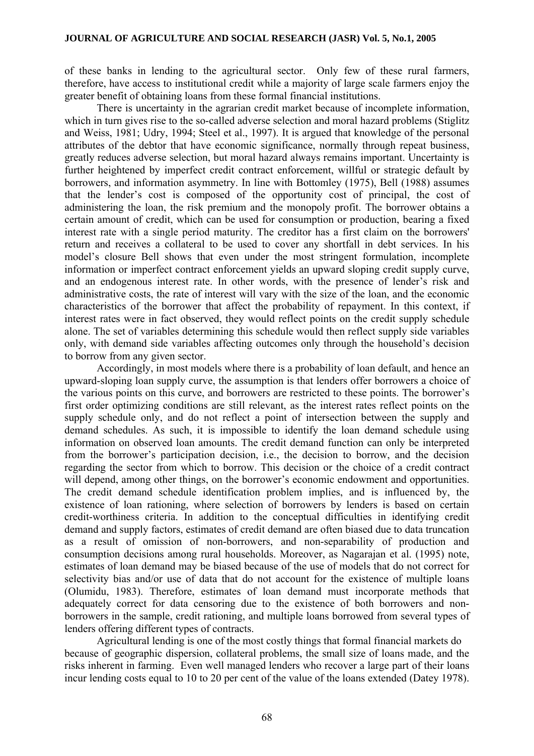of these banks in lending to the agricultural sector. Only few of these rural farmers, therefore, have access to institutional credit while a majority of large scale farmers enjoy the greater benefit of obtaining loans from these formal financial institutions.

There is uncertainty in the agrarian credit market because of incomplete information, which in turn gives rise to the so-called adverse selection and moral hazard problems (Stiglitz and Weiss, 1981; Udry, 1994; Steel et al., 1997). It is argued that knowledge of the personal attributes of the debtor that have economic significance, normally through repeat business, greatly reduces adverse selection, but moral hazard always remains important. Uncertainty is further heightened by imperfect credit contract enforcement, willful or strategic default by borrowers, and information asymmetry. In line with Bottomley (1975), Bell (1988) assumes that the lender's cost is composed of the opportunity cost of principal, the cost of administering the loan, the risk premium and the monopoly profit. The borrower obtains a certain amount of credit, which can be used for consumption or production, bearing a fixed interest rate with a single period maturity. The creditor has a first claim on the borrowers' return and receives a collateral to be used to cover any shortfall in debt services. In his model's closure Bell shows that even under the most stringent formulation, incomplete information or imperfect contract enforcement yields an upward sloping credit supply curve, and an endogenous interest rate. In other words, with the presence of lender's risk and administrative costs, the rate of interest will vary with the size of the loan, and the economic characteristics of the borrower that affect the probability of repayment. In this context, if interest rates were in fact observed, they would reflect points on the credit supply schedule alone. The set of variables determining this schedule would then reflect supply side variables only, with demand side variables affecting outcomes only through the household's decision to borrow from any given sector.

Accordingly, in most models where there is a probability of loan default, and hence an upward-sloping loan supply curve, the assumption is that lenders offer borrowers a choice of the various points on this curve, and borrowers are restricted to these points. The borrower's first order optimizing conditions are still relevant, as the interest rates reflect points on the supply schedule only, and do not reflect a point of intersection between the supply and demand schedules. As such, it is impossible to identify the loan demand schedule using information on observed loan amounts. The credit demand function can only be interpreted from the borrower's participation decision, i.e., the decision to borrow, and the decision regarding the sector from which to borrow. This decision or the choice of a credit contract will depend, among other things, on the borrower's economic endowment and opportunities. The credit demand schedule identification problem implies, and is influenced by, the existence of loan rationing, where selection of borrowers by lenders is based on certain credit-worthiness criteria. In addition to the conceptual difficulties in identifying credit demand and supply factors, estimates of credit demand are often biased due to data truncation as a result of omission of non-borrowers, and non-separability of production and consumption decisions among rural households. Moreover, as Nagarajan et al. (1995) note, estimates of loan demand may be biased because of the use of models that do not correct for selectivity bias and/or use of data that do not account for the existence of multiple loans (Olumidu, 1983). Therefore, estimates of loan demand must incorporate methods that adequately correct for data censoring due to the existence of both borrowers and nonborrowers in the sample, credit rationing, and multiple loans borrowed from several types of lenders offering different types of contracts.

Agricultural lending is one of the most costly things that formal financial markets do because of geographic dispersion, collateral problems, the small size of loans made, and the risks inherent in farming. Even well managed lenders who recover a large part of their loans incur lending costs equal to 10 to 20 per cent of the value of the loans extended (Datey 1978).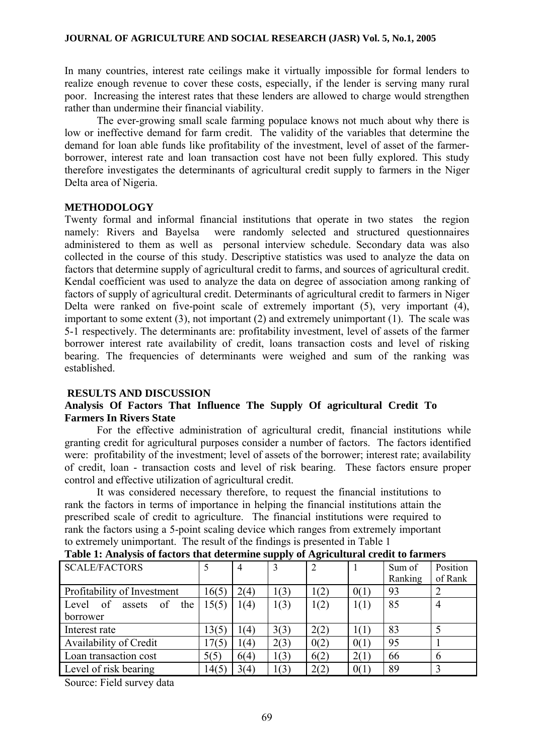In many countries, interest rate ceilings make it virtually impossible for formal lenders to realize enough revenue to cover these costs, especially, if the lender is serving many rural poor. Increasing the interest rates that these lenders are allowed to charge would strengthen rather than undermine their financial viability.

The ever-growing small scale farming populace knows not much about why there is low or ineffective demand for farm credit. The validity of the variables that determine the demand for loan able funds like profitability of the investment, level of asset of the farmerborrower, interest rate and loan transaction cost have not been fully explored. This study therefore investigates the determinants of agricultural credit supply to farmers in the Niger Delta area of Nigeria.

## **METHODOLOGY**

Twenty formal and informal financial institutions that operate in two states the region namely: Rivers and Bayelsa were randomly selected and structured questionnaires administered to them as well as personal interview schedule. Secondary data was also collected in the course of this study. Descriptive statistics was used to analyze the data on factors that determine supply of agricultural credit to farms, and sources of agricultural credit. Kendal coefficient was used to analyze the data on degree of association among ranking of factors of supply of agricultural credit. Determinants of agricultural credit to farmers in Niger Delta were ranked on five-point scale of extremely important (5), very important (4), important to some extent (3), not important (2) and extremely unimportant (1). The scale was 5-1 respectively. The determinants are: profitability investment, level of assets of the farmer borrower interest rate availability of credit, loans transaction costs and level of risking bearing. The frequencies of determinants were weighed and sum of the ranking was established.

### **RESULTS AND DISCUSSION**

# **Analysis Of Factors That Influence The Supply Of agricultural Credit To Farmers In Rivers State**

 For the effective administration of agricultural credit, financial institutions while granting credit for agricultural purposes consider a number of factors. The factors identified were: profitability of the investment; level of assets of the borrower; interest rate; availability of credit, loan - transaction costs and level of risk bearing. These factors ensure proper control and effective utilization of agricultural credit.

 It was considered necessary therefore, to request the financial institutions to rank the factors in terms of importance in helping the financial institutions attain the prescribed scale of credit to agriculture. The financial institutions were required to rank the factors using a 5-point scaling device which ranges from extremely important to extremely unimportant. The result of the findings is presented in Table 1

|                                    |       |      | <b>. .</b> . | $\bullet$ |      |         |          |
|------------------------------------|-------|------|--------------|-----------|------|---------|----------|
| <b>SCALE/FACTORS</b>               |       | 4    | 3            | 2         |      | Sum of  | Position |
|                                    |       |      |              |           |      | Ranking | of Rank  |
| Profitability of Investment        | 16(5) | 2(4) | (3)          | 1(2)      | 0(1) | 93      |          |
| the<br>of<br>of<br>Level<br>assets | 15(5) | (4)  | 1(3)         | 1(2)      | 1(1) | 85      | 4        |
| borrower                           |       |      |              |           |      |         |          |
| Interest rate                      | 13(5) | (4)  | 3(3)         | 2(2)      | 1(1) | 83      |          |
| Availability of Credit             | 17(5) | (4)  | 2(3)         | 0(2)      | 0(1) | 95      |          |
| Loan transaction cost              | 5(5)  | 6(4) | 1(3)         | 6(2)      | 2(1) | 66      | 6        |
| Level of risk bearing              | 14(5) | 3(4) | 1(3)         | 2(2)      | 0(1) | 89      |          |

## **Table 1: Analysis of factors that determine supply of Agricultural credit to farmers**

Source: Field survey data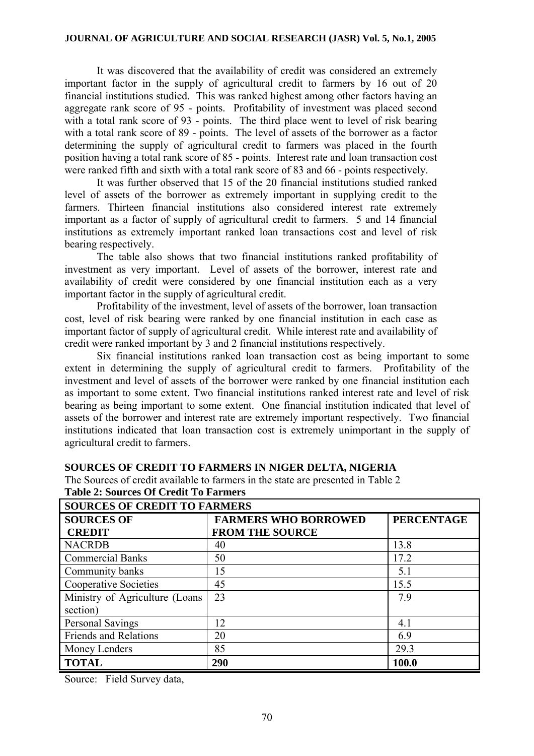It was discovered that the availability of credit was considered an extremely important factor in the supply of agricultural credit to farmers by 16 out of 20 financial institutions studied. This was ranked highest among other factors having an aggregate rank score of 95 - points. Profitability of investment was placed second with a total rank score of 93 - points. The third place went to level of risk bearing with a total rank score of 89 - points. The level of assets of the borrower as a factor determining the supply of agricultural credit to farmers was placed in the fourth position having a total rank score of 85 - points. Interest rate and loan transaction cost were ranked fifth and sixth with a total rank score of 83 and 66 - points respectively.

 It was further observed that 15 of the 20 financial institutions studied ranked level of assets of the borrower as extremely important in supplying credit to the farmers. Thirteen financial institutions also considered interest rate extremely important as a factor of supply of agricultural credit to farmers. 5 and 14 financial institutions as extremely important ranked loan transactions cost and level of risk bearing respectively.

 The table also shows that two financial institutions ranked profitability of investment as very important. Level of assets of the borrower, interest rate and availability of credit were considered by one financial institution each as a very important factor in the supply of agricultural credit.

 Profitability of the investment, level of assets of the borrower, loan transaction cost, level of risk bearing were ranked by one financial institution in each case as important factor of supply of agricultural credit. While interest rate and availability of credit were ranked important by 3 and 2 financial institutions respectively.

 Six financial institutions ranked loan transaction cost as being important to some extent in determining the supply of agricultural credit to farmers. Profitability of the investment and level of assets of the borrower were ranked by one financial institution each as important to some extent. Two financial institutions ranked interest rate and level of risk bearing as being important to some extent. One financial institution indicated that level of assets of the borrower and interest rate are extremely important respectively. Two financial institutions indicated that loan transaction cost is extremely unimportant in the supply of agricultural credit to farmers.

| SOURCES OF CREDIT TO FARMERS IN NIGER DELTA, NIGERIA |  |  |  |  |  |
|------------------------------------------------------|--|--|--|--|--|
|------------------------------------------------------|--|--|--|--|--|

The Sources of credit available to farmers in the state are presented in Table 2

| <b>SOURCES OF CREDIT TO FARMERS</b> |                             |                   |  |  |  |
|-------------------------------------|-----------------------------|-------------------|--|--|--|
| <b>SOURCES OF</b>                   | <b>FARMERS WHO BORROWED</b> | <b>PERCENTAGE</b> |  |  |  |
| <b>CREDIT</b>                       | <b>FROM THE SOURCE</b>      |                   |  |  |  |
| <b>NACRDB</b>                       | 40                          | 13.8              |  |  |  |
| <b>Commercial Banks</b>             | 50                          | 17.2              |  |  |  |
| Community banks                     | 15                          | 5.1               |  |  |  |
| Cooperative Societies               | 45                          | 15.5              |  |  |  |
| Ministry of Agriculture (Loans      | 23                          | 79                |  |  |  |
| section)                            |                             |                   |  |  |  |
| Personal Savings                    | 12                          | 4.1               |  |  |  |
| <b>Friends and Relations</b>        | 20                          | 6.9               |  |  |  |
| Money Lenders                       | 85                          | 29.3              |  |  |  |
| <b>TOTAL</b>                        | 290                         | 100.0             |  |  |  |

#### **Table 2: Sources Of Credit To Farmers**

Source: Field Survey data,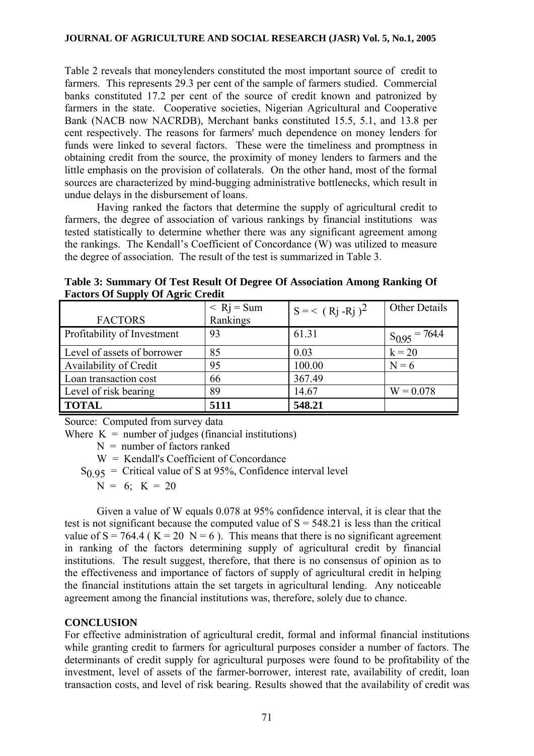Table 2 reveals that moneylenders constituted the most important source of credit to farmers. This represents 29.3 per cent of the sample of farmers studied. Commercial banks constituted 17.2 per cent of the source of credit known and patronized by farmers in the state. Cooperative societies, Nigerian Agricultural and Cooperative Bank (NACB now NACRDB), Merchant banks constituted 15.5, 5.1, and 13.8 per cent respectively. The reasons for farmers' much dependence on money lenders for funds were linked to several factors. These were the timeliness and promptness in obtaining credit from the source, the proximity of money lenders to farmers and the little emphasis on the provision of collaterals. On the other hand, most of the formal sources are characterized by mind-bugging administrative bottlenecks, which result in undue delays in the disbursement of loans.

 Having ranked the factors that determine the supply of agricultural credit to farmers, the degree of association of various rankings by financial institutions was tested statistically to determine whether there was any significant agreement among the rankings. The Kendall's Coefficient of Concordance (W) was utilized to measure the degree of association. The result of the test is summarized in Table 3.

**Table 3: Summary Of Test Result Of Degree Of Association Among Ranking Of Factors Of Supply Of Agric Credit** 

|                             | $\leq$ Rj = Sum | $S = \langle (Rj - Rj)^2 \rangle$ | Other Details      |
|-----------------------------|-----------------|-----------------------------------|--------------------|
| <b>FACTORS</b>              | Rankings        |                                   |                    |
| Profitability of Investment | 93              | 61.31                             | $S_{0.95} = 764.4$ |
| Level of assets of borrower | 85              | 0.03                              | $k = 20$           |
| Availability of Credit      | 95              | 100.00                            | $N = 6$            |
| Loan transaction cost       | 66              | 367.49                            |                    |
| Level of risk bearing       | 89              | 14.67                             | $W = 0.078$        |
| <b>TOTAL</b>                | 5111            | 548.21                            |                    |

Source: Computed from survey data

Where  $K =$  number of judges (financial institutions)

 $N =$  number of factors ranked

 $W =$  Kendall's Coefficient of Concordance

 $S_0$  95 = Critical value of S at 95%, Confidence interval level

 $N = 6$ ;  $K = 20$ 

 Given a value of W equals 0.078 at 95% confidence interval, it is clear that the test is not significant because the computed value of  $S = 548.21$  is less than the critical value of  $S = 764.4$  ( $K = 20$   $N = 6$ ). This means that there is no significant agreement in ranking of the factors determining supply of agricultural credit by financial institutions. The result suggest, therefore, that there is no consensus of opinion as to the effectiveness and importance of factors of supply of agricultural credit in helping the financial institutions attain the set targets in agricultural lending. Any noticeable agreement among the financial institutions was, therefore, solely due to chance.

### **CONCLUSION**

For effective administration of agricultural credit, formal and informal financial institutions while granting credit to farmers for agricultural purposes consider a number of factors. The determinants of credit supply for agricultural purposes were found to be profitability of the investment, level of assets of the farmer-borrower, interest rate, availability of credit, loan transaction costs, and level of risk bearing. Results showed that the availability of credit was